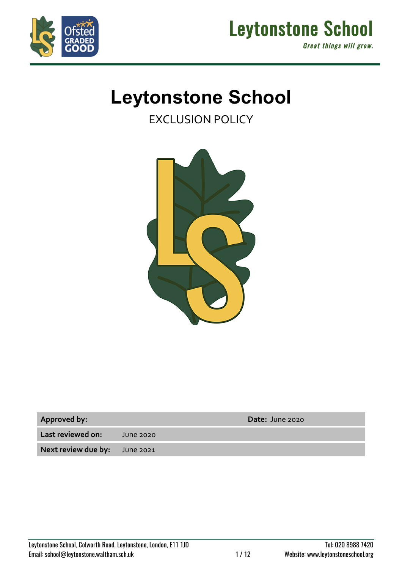



# **Leytonstone School**

EXCLUSION POLICY



| <b>Approved by:</b> |  |
|---------------------|--|
|---------------------|--|

**Approved by: Date:** June 2020

**Last reviewed on:** June 2020

**Next review due by:** June 2021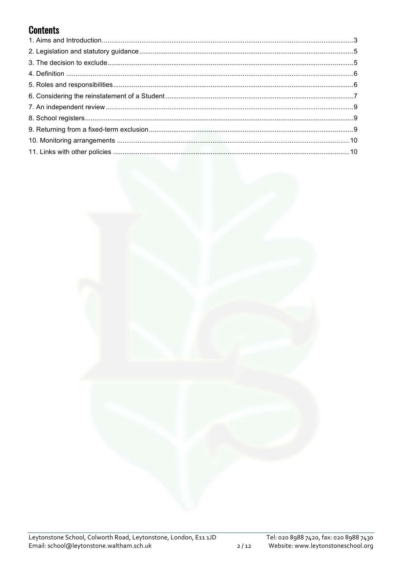# **Contents**



 $2/12$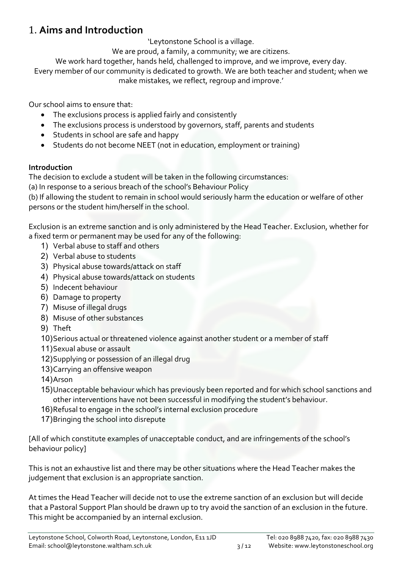# 1. **Aims and Introduction**

'Leytonstone School is a village.

We are proud, a family, a community; we are citizens.

We work hard together, hands held, challenged to improve, and we improve, every day.

Every member of our community is dedicated to growth. We are both teacher and student; when we make mistakes, we reflect, regroup and improve.'

Our school aims to ensure that:

- The exclusions process is applied fairly and consistently
- The exclusions process is understood by governors, staff, parents and students
- Students in school are safe and happy
- Students do not become NEET (not in education, employment or training)

#### **Introduction**

The decision to exclude a student will be taken in the following circumstances:

(a) In response to a serious breach of the school's Behaviour Policy

(b) If allowing the student to remain in school would seriously harm the education or welfare of other persons or the student him/herself in the school.

Exclusion is an extreme sanction and is only administered by the Head Teacher. Exclusion, whether for a fixed term or permanent may be used for any of the following:

- 1) Verbal abuse to staff and others
- 2) Verbal abuse to students
- 3) Physical abuse towards/attack on staff
- 4) Physical abuse towards/attack on students
- 5) Indecent behaviour
- 6) Damage to property
- 7) Misuse of illegal drugs
- 8) Misuse of other substances
- 9) Theft
- 10)Serious actual or threatened violence against another student or a member of staff
- 11)Sexual abuse or assault
- 12)Supplying or possession of an illegal drug
- 13)Carrying an offensive weapon
- 14)Arson
- 15)Unacceptable behaviour which has previously been reported and for which school sanctions and other interventions have not been successful in modifying the student's behaviour.
- 16)Refusal to engage in the school's internal exclusion procedure
- 17)Bringing the school into disrepute

[All of which constitute examples of unacceptable conduct, and are infringements of the school's behaviour policy]

This is not an exhaustive list and there may be other situations where the Head Teacher makes the judgement that exclusion is an appropriate sanction.

At times the Head Teacher will decide not to use the extreme sanction of an exclusion but will decide that a Pastoral Support Plan should be drawn up to try avoid the sanction of an exclusion in the future. This might be accompanied by an internal exclusion.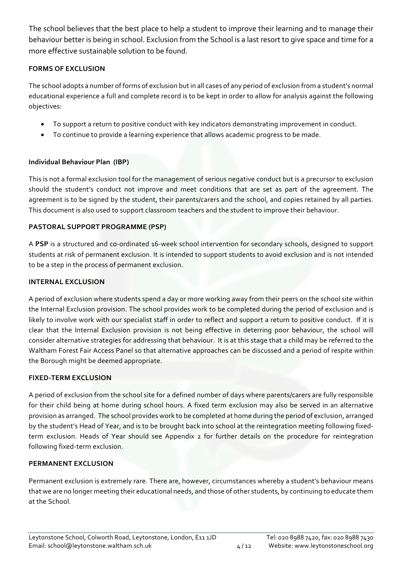The school believes that the best place to help a student to improve their learning and to manage their behaviour better is being in school. Exclusion from the School is a last resort to give space and time for a more effective sustainable solution to be found.

#### **FORMS OF EXCLUSION**

The school adopts a number of forms of exclusion but in all cases of any period of exclusion from a student's normal educational experience a full and complete record is to be kept in order to allow for analysis against the following objectives:

- To support a return to positive conduct with key indicators demonstrating improvement in conduct.
- To continue to provide a learning experience that allows academic progress to be made.

#### **Individual Behaviour Plan (IBP)**

This is not a formal exclusion tool for the management of serious negative conduct but is a precursor to exclusion should the student's conduct not improve and meet conditions that are set as part of the agreement. The agreement is to be signed by the student, their parents/carers and the school, and copies retained by all parties. This document is also used to support classroom teachers and the student to improve their behaviour.

#### **PASTORAL SUPPORT PROGRAMME (PSP)**

A **PSP** is a structured and co-ordinated 16-week school intervention for secondary schools, designed to support students at risk of permanent exclusion. It is intended to support students to avoid exclusion and is not intended to be a step in the process of permanent exclusion.

#### **INTERNAL EXCLUSION**

A period of exclusion where students spend a day or more working away from their peers on the school site within the Internal Exclusion provision. The school provides work to be completed during the period of exclusion and is likely to involve work with our specialist staff in order to reflect and support a return to positive conduct. If it is clear that the Internal Exclusion provision is not being effective in deterring poor behaviour, the school will consider alternative strategies for addressing that behaviour. It is at this stage that a child may be referred to the Waltham Forest Fair Access Panel so that alternative approaches can be discussed and a period of respite within the Borough might be deemed appropriate.

#### **FIXED-TERM EXCLUSION**

A period of exclusion from the school site for a defined number of days where parents/carers are fully responsible for their child being at home during school hours. A fixed term exclusion may also be served in an alternative provision as arranged. The school provides work to be completed at home during the period of exclusion, arranged by the student's Head of Year, and is to be brought back into school at the reintegration meeting following fixedterm exclusion. Heads of Year should see Appendix 2 for further details on the procedure for reintegration following fixed-term exclusion.

#### **PERMANENT EXCLUSION**

Permanent exclusion is extremely rare. There are, however, circumstances whereby a student's behaviour means that we are no longer meeting their educational needs, and those of other students, by continuing to educate them at the School.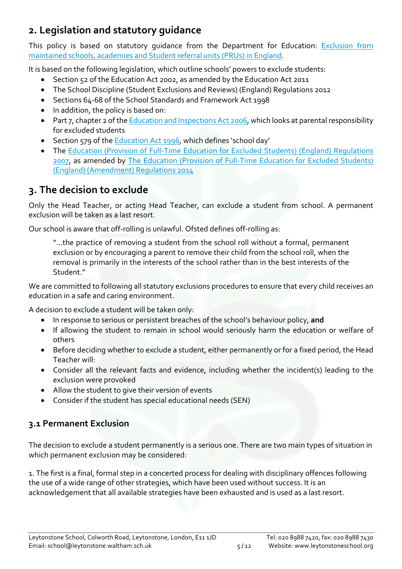# **2. Legislation and statutory guidance**

This policy is based on statutory quidance from the Department for Education: Exclusion from maintained schools, academies and Student referral units (PRUs) in England.

It is based on the following legislation, which outline schools' powers to exclude students:

- Section 52 of the Education Act 2002, as amended by the Education Act 2011
- The School Discipline (Student Exclusions and Reviews) (England) Regulations 2012
- Sections 64-68 of the School Standards and Framework Act 1998
- In addition, the policy is based on:
- Part 7, chapter 2 of the Education and Inspections Act 2006, which looks at parental responsibility for excluded students
- Section 579 of the Education Act 1996, which defines 'school day'
- The Education (Provision of Full-Time Education for Excluded Students) (England) Regulations 2007, as amended by The Education (Provision of Full-Time Education for Excluded Students) (England) (Amendment) Regulations 2014

# **3. The decision to exclude**

Only the Head Teacher, or acting Head Teacher, can exclude a student from school. A permanent exclusion will be taken as a last resort.

Our school is aware that off-rolling is unlawful. Ofsted defines off-rolling as:

"…the practice of removing a student from the school roll without a formal, permanent exclusion or by encouraging a parent to remove their child from the school roll, when the removal is primarily in the interests of the school rather than in the best interests of the Student."

We are committed to following all statutory exclusions procedures to ensure that every child receives an education in a safe and caring environment.

A decision to exclude a student will be taken only:

- In response to serious or persistent breaches of the school's behaviour policy, **and**
- If allowing the student to remain in school would seriously harm the education or welfare of others
- Before deciding whether to exclude a student, either permanently or for a fixed period, the Head Teacher will:
- Consider all the relevant facts and evidence, including whether the incident(s) leading to the exclusion were provoked
- Allow the student to give their version of events
- Consider if the student has special educational needs (SEN)

### **3.1 Permanent Exclusion**

The decision to exclude a student permanently is a serious one. There are two main types of situation in which permanent exclusion may be considered:

1. The first is a final, formal step in a concerted process for dealing with disciplinary offences following the use of a wide range of other strategies, which have been used without success. It is an acknowledgement that all available strategies have been exhausted and is used as a last resort.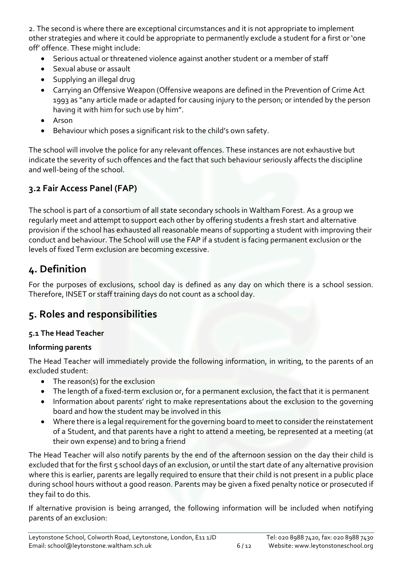2. The second is where there are exceptional circumstances and it is not appropriate to implement other strategies and where it could be appropriate to permanently exclude a student for a first or 'one off' offence. These might include:

- Serious actual or threatened violence against another student or a member of staff
- Sexual abuse or assault
- Supplying an illegal drug
- Carrying an Offensive Weapon (Offensive weapons are defined in the Prevention of Crime Act 1993 as "any article made or adapted for causing injury to the person; or intended by the person having it with him for such use by him".
- Arson
- Behaviour which poses a significant risk to the child's own safety.

The school will involve the police for any relevant offences. These instances are not exhaustive but indicate the severity of such offences and the fact that such behaviour seriously affects the discipline and well-being of the school.

## **3.2 Fair Access Panel (FAP)**

The school is part of a consortium of all state secondary schools in Waltham Forest. As a group we regularly meet and attempt to support each other by offering students a fresh start and alternative provision if the school has exhausted all reasonable means of supporting a student with improving their conduct and behaviour. The School will use the FAP if a student is facing permanent exclusion or the levels of fixed Term exclusion are becoming excessive.

# **4. Definition**

For the purposes of exclusions, school day is defined as any day on which there is a school session. Therefore, INSET or staff training days do not count as a school day.

# **5. Roles and responsibilities**

#### **5.1 The Head Teacher**

#### **Informing parents**

The Head Teacher will immediately provide the following information, in writing, to the parents of an excluded student:

- The reason(s) for the exclusion
- The length of a fixed-term exclusion or, for a permanent exclusion, the fact that it is permanent
- Information about parents' right to make representations about the exclusion to the governing board and how the student may be involved in this
- Where there is a legal requirement for the governing board to meet to consider the reinstatement of a Student, and that parents have a right to attend a meeting, be represented at a meeting (at their own expense) and to bring a friend

The Head Teacher will also notify parents by the end of the afternoon session on the day their child is excluded that for the first 5 school days of an exclusion, or until the start date of any alternative provision where this is earlier, parents are legally required to ensure that their child is not present in a public place during school hours without a good reason. Parents may be given a fixed penalty notice or prosecuted if they fail to do this.

If alternative provision is being arranged, the following information will be included when notifying parents of an exclusion: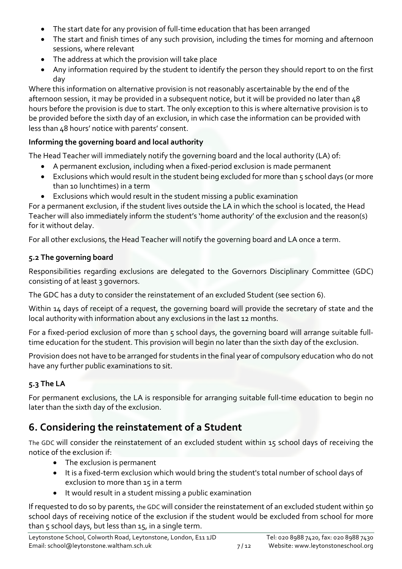- The start date for any provision of full-time education that has been arranged
- The start and finish times of any such provision, including the times for morning and afternoon sessions, where relevant
- The address at which the provision will take place
- Any information required by the student to identify the person they should report to on the first day

Where this information on alternative provision is not reasonably ascertainable by the end of the afternoon session, it may be provided in a subsequent notice, but it will be provided no later than 48 hours before the provision is due to start. The only exception to this is where alternative provision is to be provided before the sixth day of an exclusion, in which case the information can be provided with less than 48 hours' notice with parents' consent.

#### **Informing the governing board and local authority**

The Head Teacher will immediately notify the governing board and the local authority (LA) of:

- A permanent exclusion, including when a fixed-period exclusion is made permanent
- Exclusions which would result in the student being excluded for more than 5 school days (or more than 10 lunchtimes) in a term
- Exclusions which would result in the student missing a public examination

For a permanent exclusion, if the student lives outside the LA in which the school is located, the Head Teacher will also immediately inform the student's 'home authority' of the exclusion and the reason(s) for it without delay.

For all other exclusions, the Head Teacher will notify the governing board and LA once a term.

#### **5.2 The governing board**

Responsibilities regarding exclusions are delegated to the Governors Disciplinary Committee (GDC) consisting of at least 3 governors.

The GDC has a duty to consider the reinstatement of an excluded Student (see section 6).

Within 14 days of receipt of a request, the governing board will provide the secretary of state and the local authority with information about any exclusions in the last 12 months.

For a fixed-period exclusion of more than 5 school days, the governing board will arrange suitable fulltime education for the student. This provision will begin no later than the sixth day of the exclusion.

Provision does not have to be arranged for students in the final year of compulsory education who do not have any further public examinations to sit.

### **5.3 The LA**

For permanent exclusions, the LA is responsible for arranging suitable full-time education to begin no later than the sixth day of the exclusion.

# **6. Considering the reinstatement of a Student**

The GDC will consider the reinstatement of an excluded student within 15 school days of receiving the notice of the exclusion if:

- The exclusion is permanent
- It is a fixed-term exclusion which would bring the student's total number of school days of exclusion to more than 15 in a term
- It would result in a student missing a public examination

If requested to do so by parents, the GDC will consider the reinstatement of an excluded student within 50 school days of receiving notice of the exclusion if the student would be excluded from school for more than 5 school days, but less than 15, in a single term.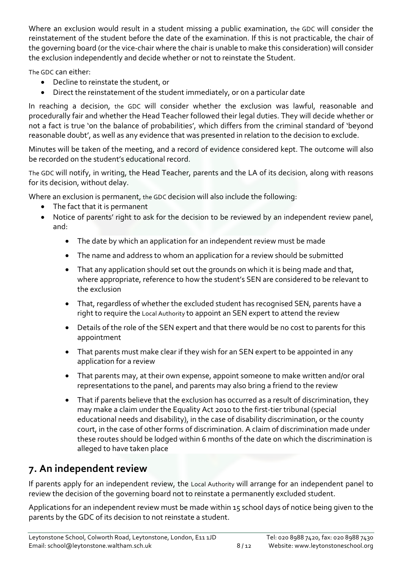Where an exclusion would result in a student missing a public examination, the GDC will consider the reinstatement of the student before the date of the examination. If this is not practicable, the chair of the governing board (or the vice-chair where the chair is unable to make this consideration) will consider the exclusion independently and decide whether or not to reinstate the Student.

The GDC can either:

- Decline to reinstate the student, or
- Direct the reinstatement of the student immediately, or on a particular date

In reaching a decision, the GDC will consider whether the exclusion was lawful, reasonable and procedurally fair and whether the Head Teacher followed their legal duties. They will decide whether or not a fact is true 'on the balance of probabilities', which differs from the criminal standard of 'beyond reasonable doubt', as well as any evidence that was presented in relation to the decision to exclude.

Minutes will be taken of the meeting, and a record of evidence considered kept. The outcome will also be recorded on the student's educational record.

The GDC will notify, in writing, the Head Teacher, parents and the LA of its decision, along with reasons for its decision, without delay.

Where an exclusion is permanent, the GDC decision will also include the following:

- The fact that it is permanent
- Notice of parents' right to ask for the decision to be reviewed by an independent review panel, and:
	- The date by which an application for an independent review must be made
	- The name and address to whom an application for a review should be submitted
	- That any application should set out the grounds on which it is being made and that, where appropriate, reference to how the student's SEN are considered to be relevant to the exclusion
	- That, regardless of whether the excluded student has recognised SEN, parents have a right to require the Local Authority to appoint an SEN expert to attend the review
	- Details of the role of the SEN expert and that there would be no cost to parents for this appointment
	- That parents must make clear if they wish for an SEN expert to be appointed in any application for a review
	- That parents may, at their own expense, appoint someone to make written and/or oral representations to the panel, and parents may also bring a friend to the review
	- That if parents believe that the exclusion has occurred as a result of discrimination, they may make a claim under the Equality Act 2010 to the first-tier tribunal (special educational needs and disability), in the case of disability discrimination, or the county court, in the case of other forms of discrimination. A claim of discrimination made under these routes should be lodged within 6 months of the date on which the discrimination is alleged to have taken place

# **7. An independent review**

If parents apply for an independent review, the Local Authority will arrange for an independent panel to review the decision of the governing board not to reinstate a permanently excluded student.

Applications for an independent review must be made within 15 school days of notice being given to the parents by the GDC of its decision to not reinstate a student.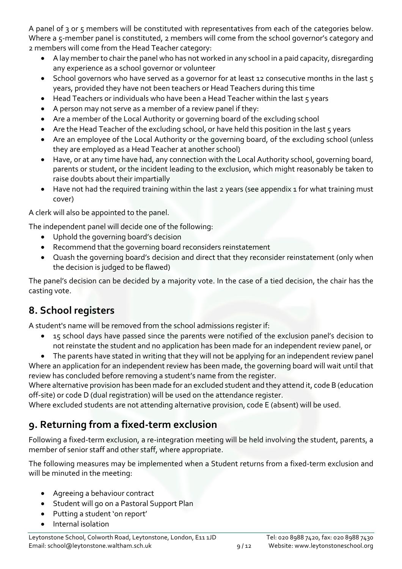A panel of 3 or 5 members will be constituted with representatives from each of the categories below. Where a 5-member panel is constituted, 2 members will come from the school governor's category and 2 members will come from the Head Teacher category:

- A lay member to chair the panel who has not worked in any school in a paid capacity, disregarding any experience as a school governor or volunteer
- School governors who have served as a governor for at least 12 consecutive months in the last 5 years, provided they have not been teachers or Head Teachers during this time
- Head Teachers or individuals who have been a Head Teacher within the last 5 years
- A person may not serve as a member of a review panel if they:
- Are a member of the Local Authority or governing board of the excluding school
- Are the Head Teacher of the excluding school, or have held this position in the last 5 years
- Are an employee of the Local Authority or the governing board, of the excluding school (unless they are employed as a Head Teacher at another school)
- Have, or at any time have had, any connection with the Local Authority school, governing board, parents or student, or the incident leading to the exclusion, which might reasonably be taken to raise doubts about their impartially
- Have not had the required training within the last 2 years (see appendix 1 for what training must cover)

A clerk will also be appointed to the panel.

The independent panel will decide one of the following:

- Uphold the governing board's decision
- Recommend that the governing board reconsiders reinstatement
- Quash the governing board's decision and direct that they reconsider reinstatement (only when the decision is judged to be flawed)

The panel's decision can be decided by a majority vote. In the case of a tied decision, the chair has the casting vote.

# **8. School registers**

A student's name will be removed from the school admissions register if:

- 15 school days have passed since the parents were notified of the exclusion panel's decision to not reinstate the student and no application has been made for an independent review panel, or
- The parents have stated in writing that they will not be applying for an independent review panel

Where an application for an independent review has been made, the governing board will wait until that review has concluded before removing a student's name from the register.

Where alternative provision has been made for an excluded student and they attend it, code B (education off-site) or code D (dual registration) will be used on the attendance register.

Where excluded students are not attending alternative provision, code E (absent) will be used.

# **9. Returning from a fixed-term exclusion**

Following a fixed-term exclusion, a re-integration meeting will be held involving the student, parents, a member of senior staff and other staff, where appropriate.

The following measures may be implemented when a Student returns from a fixed-term exclusion and will be minuted in the meeting:

- Agreeing a behaviour contract
- Student will go on a Pastoral Support Plan
- Putting a student 'on report'
- Internal isolation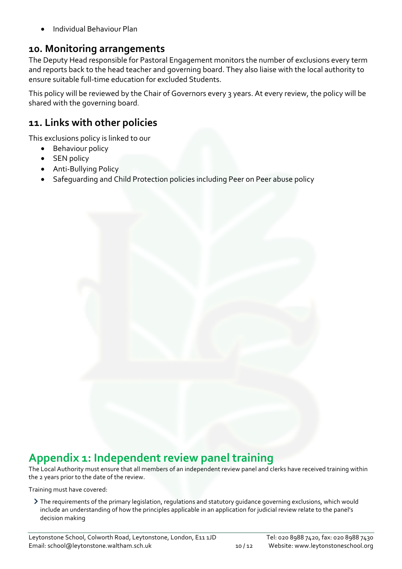• Individual Behaviour Plan

# **10. Monitoring arrangements**

The Deputy Head responsible for Pastoral Engagement monitors the number of exclusions every term and reports back to the head teacher and governing board. They also liaise with the local authority to ensure suitable full-time education for excluded Students.

This policy will be reviewed by the Chair of Governors every 3 years. At every review, the policy will be shared with the governing board.

# **11. Links with other policies**

This exclusions policy is linked to our

- Behaviour policy
- SEN policy
- Anti-Bullying Policy
- Safeguarding and Child Protection policies including Peer on Peer abuse policy

# **Appendix 1: Independent review panel training**

The Local Authority must ensure that all members of an independent review panel and clerks have received training within the 2 years prior to the date of the review.

Training must have covered:

The requirements of the primary legislation, regulations and statutory guidance governing exclusions, which would include an understanding of how the principles applicable in an application for judicial review relate to the panel's decision making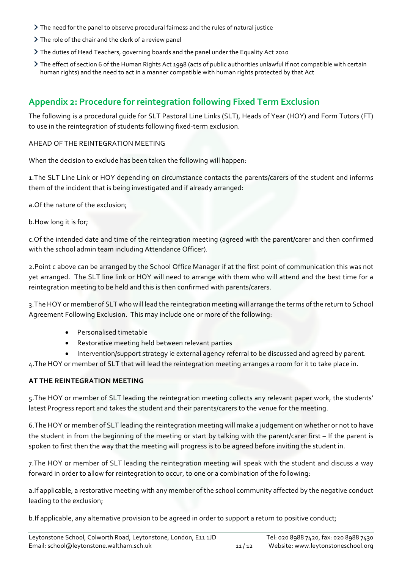- The need for the panel to observe procedural fairness and the rules of natural justice
- $\triangleright$  The role of the chair and the clerk of a review panel
- The duties of Head Teachers, governing boards and the panel under the Equality Act 2010
- The effect of section 6 of the Human Rights Act 1998 (acts of public authorities unlawful if not compatible with certain human rights) and the need to act in a manner compatible with human rights protected by that Act

### **Appendix 2: Procedure for reintegration following Fixed Term Exclusion**

The following is a procedural guide for SLT Pastoral Line Links (SLT), Heads of Year (HOY) and Form Tutors (FT) to use in the reintegration of students following fixed-term exclusion.

AHEAD OF THE REINTEGRATION MEETING

When the decision to exclude has been taken the following will happen:

1.The SLT Line Link or HOY depending on circumstance contacts the parents/carers of the student and informs them of the incident that is being investigated and if already arranged:

a.Of the nature of the exclusion;

b.How long it is for;

c.Of the intended date and time of the reintegration meeting (agreed with the parent/carer and then confirmed with the school admin team including Attendance Officer).

2.Point c above can be arranged by the School Office Manager if at the first point of communication this was not yet arranged. The SLT line link or HOY will need to arrange with them who will attend and the best time for a reintegration meeting to be held and this is then confirmed with parents/carers.

3.The HOY or member of SLT who will lead the reintegration meeting will arrange the terms of the return to School Agreement Following Exclusion. This may include one or more of the following:

- Personalised timetable
- Restorative meeting held between relevant parties
- Intervention/support strategy ie external agency referral to be discussed and agreed by parent.

4.The HOY or member of SLT that will lead the reintegration meeting arranges a room for it to take place in.

#### **AT THE REINTEGRATION MEETING**

5.The HOY or member of SLT leading the reintegration meeting collects any relevant paper work, the students' latest Progress report and takes the student and their parents/carers to the venue for the meeting.

6.The HOY or member of SLT leading the reintegration meeting will make a judgement on whether or not to have the student in from the beginning of the meeting or start by talking with the parent/carer first – If the parent is spoken to first then the way that the meeting will progress is to be agreed before inviting the student in.

7.The HOY or member of SLT leading the reintegration meeting will speak with the student and discuss a way forward in order to allow for reintegration to occur, to one or a combination of the following:

a.If applicable, a restorative meeting with any member of the school community affected by the negative conduct leading to the exclusion;

b.If applicable, any alternative provision to be agreed in order to support a return to positive conduct;